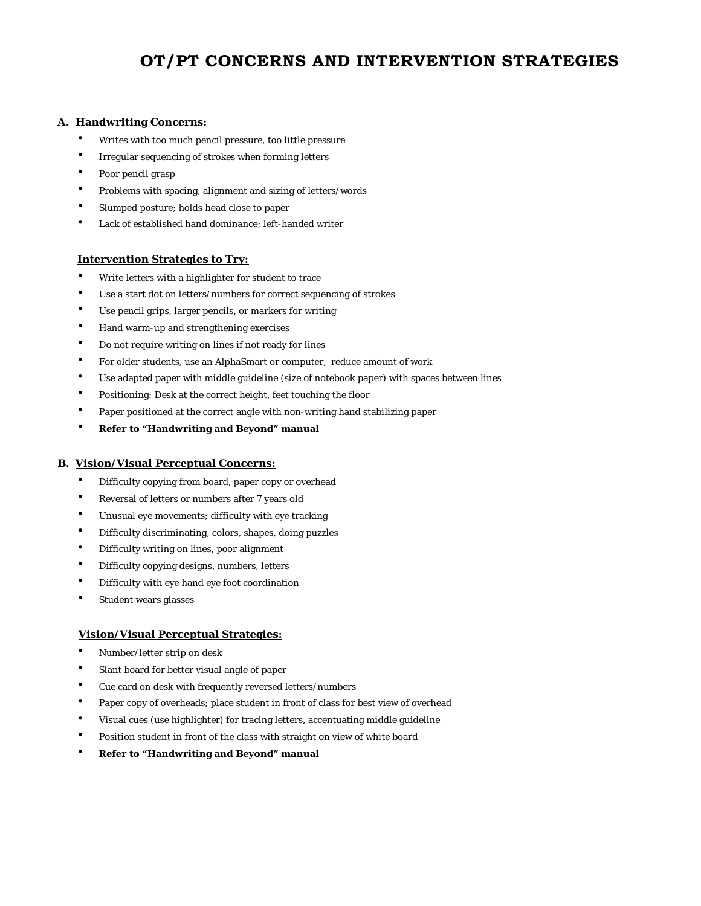# **OT/PT CONCERNS AND INTERVENTION STRATEGIES**

## **A. Handwriting Concerns:**

- Writes with too much pencil pressure, too little pressure
- Irregular sequencing of strokes when forming letters
- Poor pencil grasp
- Problems with spacing, alignment and sizing of letters/words
- Slumped posture; holds head close to paper
- Lack of established hand dominance; left-handed writer

#### **Intervention Strategies to Try:**

- Write letters with a highlighter for student to trace
- Use a start dot on letters/numbers for correct sequencing of strokes
- Use pencil grips, larger pencils, or markers for writing
- Hand warm-up and strengthening exercises
- Do not require writing on lines if not ready for lines
- For older students, use an AlphaSmart or computer, reduce amount of work
- Use adapted paper with middle guideline (size of notebook paper) with spaces between lines
- Positioning: Desk at the correct height, feet touching the floor
- Paper positioned at the correct angle with non-writing hand stabilizing paper
- **Refer to "Handwriting and Beyond" manual**

#### **B. Vision/Visual Perceptual Concerns:**

- Difficulty copying from board, paper copy or overhead
- Reversal of letters or numbers after 7 years old
- Unusual eye movements; difficulty with eye tracking
- Difficulty discriminating, colors, shapes, doing puzzles
- Difficulty writing on lines, poor alignment
- Difficulty copying designs, numbers, letters
- Difficulty with eye hand eye foot coordination
- Student wears glasses

### **Vision/Visual Perceptual Strategies:**

- Number/letter strip on desk
- Slant board for better visual angle of paper
- Cue card on desk with frequently reversed letters/numbers
- Paper copy of overheads; place student in front of class for best view of overhead
- Visual cues (use highlighter) for tracing letters, accentuating middle guideline
- Position student in front of the class with straight on view of white board
- **Refer to "Handwriting and Beyond" manual**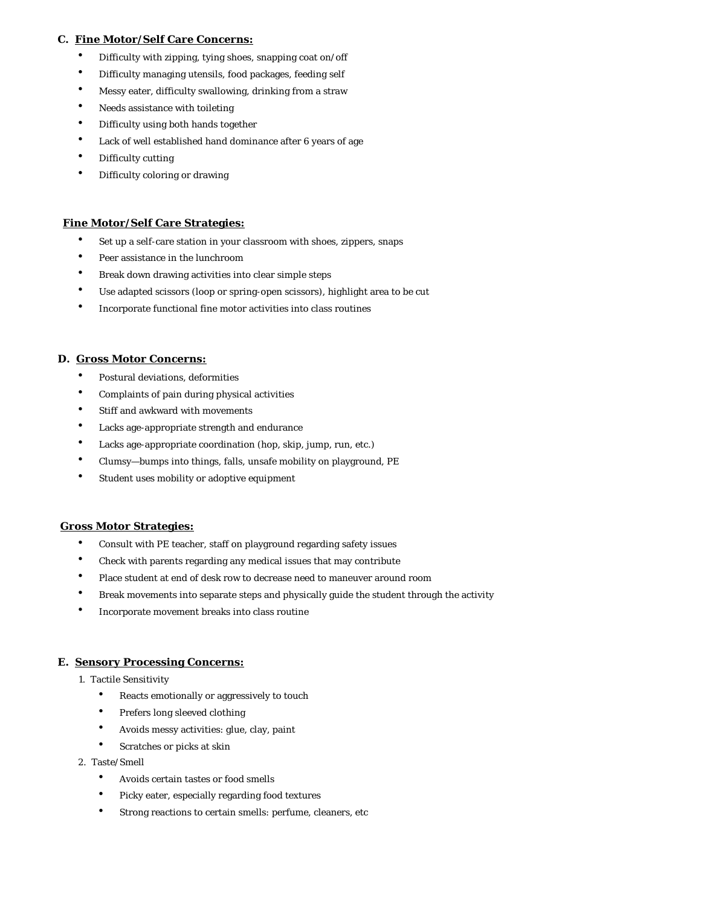## **C. Fine Motor/Self Care Concerns:**

- Difficulty with zipping, tying shoes, snapping coat on/off
- Difficulty managing utensils, food packages, feeding self
- Messy eater, difficulty swallowing, drinking from a straw
- Needs assistance with toileting
- Difficulty using both hands together
- Lack of well established hand dominance after 6 years of age
- Difficulty cutting
- Difficulty coloring or drawing

## **Fine Motor/Self Care Strategies:**

- Set up a self-care station in your classroom with shoes, zippers, snaps
- Peer assistance in the lunchroom
- Break down drawing activities into clear simple steps
- Use adapted scissors (loop or spring-open scissors), highlight area to be cut
- Incorporate functional fine motor activities into class routines

### **D. Gross Motor Concerns:**

- Postural deviations, deformities
- Complaints of pain during physical activities
- Stiff and awkward with movements
- Lacks age-appropriate strength and endurance
- Lacks age-appropriate coordination (hop, skip, jump, run, etc.)
- Clumsy—bumps into things, falls, unsafe mobility on playground, PE
- Student uses mobility or adoptive equipment

### **Gross Motor Strategies:**

- Consult with PE teacher, staff on playground regarding safety issues
- Check with parents regarding any medical issues that may contribute
- Place student at end of desk row to decrease need to maneuver around room
- Break movements into separate steps and physically guide the student through the activity
- Incorporate movement breaks into class routine

### **E. Sensory Processing Concerns:**

- 1. Tactile Sensitivity
	- Reacts emotionally or aggressively to touch
	- Prefers long sleeved clothing
	- Avoids messy activities: glue, clay, paint
	- Scratches or picks at skin
- 2. Taste/Smell
	- Avoids certain tastes or food smells
	- Picky eater, especially regarding food textures
	- Strong reactions to certain smells: perfume, cleaners, etc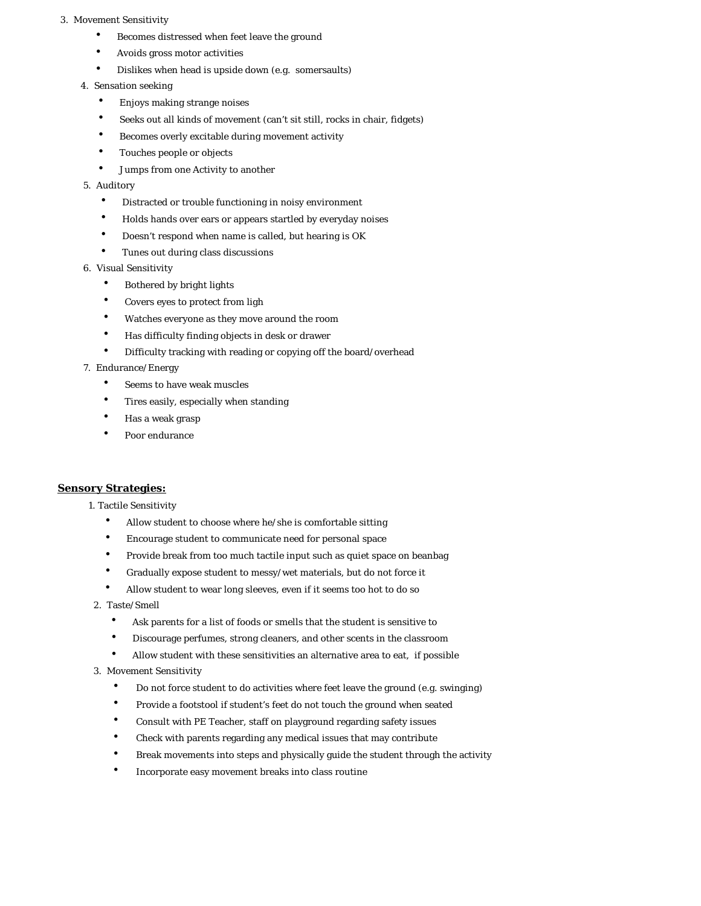#### 3. Movement Sensitivity

- Becomes distressed when feet leave the ground
- Avoids gross motor activities
- Dislikes when head is upside down (e.g. somersaults)
- 4. Sensation seeking
	- Enjoys making strange noises
	- Seeks out all kinds of movement (can't sit still, rocks in chair, fidgets)
	- Becomes overly excitable during movement activity
	- Touches people or objects
	- Jumps from one Activity to another

# 5. Auditory

- Distracted or trouble functioning in noisy environment
- Holds hands over ears or appears startled by everyday noises
- Doesn't respond when name is called, but hearing is OK
- Tunes out during class discussions
- 6. Visual Sensitivity
	- Bothered by bright lights
	- Covers eyes to protect from ligh
	- Watches everyone as they move around the room
	- Has difficulty finding objects in desk or drawer
	- Difficulty tracking with reading or copying off the board/overhead

# 7. Endurance/Energy

- Seems to have weak muscles
- Tires easily, especially when standing
- Has a weak grasp
- Poor endurance

# **Sensory Strategies:**

- 1. Tactile Sensitivity
	- Allow student to choose where he/she is comfortable sitting
	- Encourage student to communicate need for personal space
	- Provide break from too much tactile input such as quiet space on beanbag
	- Gradually expose student to messy/wet materials, but do not force it
	- Allow student to wear long sleeves, even if it seems too hot to do so
- 2. Taste/Smell
	- Ask parents for a list of foods or smells that the student is sensitive to
	- Discourage perfumes, strong cleaners, and other scents in the classroom
	- Allow student with these sensitivities an alternative area to eat, if possible
- 3. Movement Sensitivity
	- Do not force student to do activities where feet leave the ground (e.g. swinging)
	- Provide a footstool if student's feet do not touch the ground when seated
	- Consult with PE Teacher, staff on playground regarding safety issues
	- Check with parents regarding any medical issues that may contribute
	- Break movements into steps and physically guide the student through the activity
	- Incorporate easy movement breaks into class routine